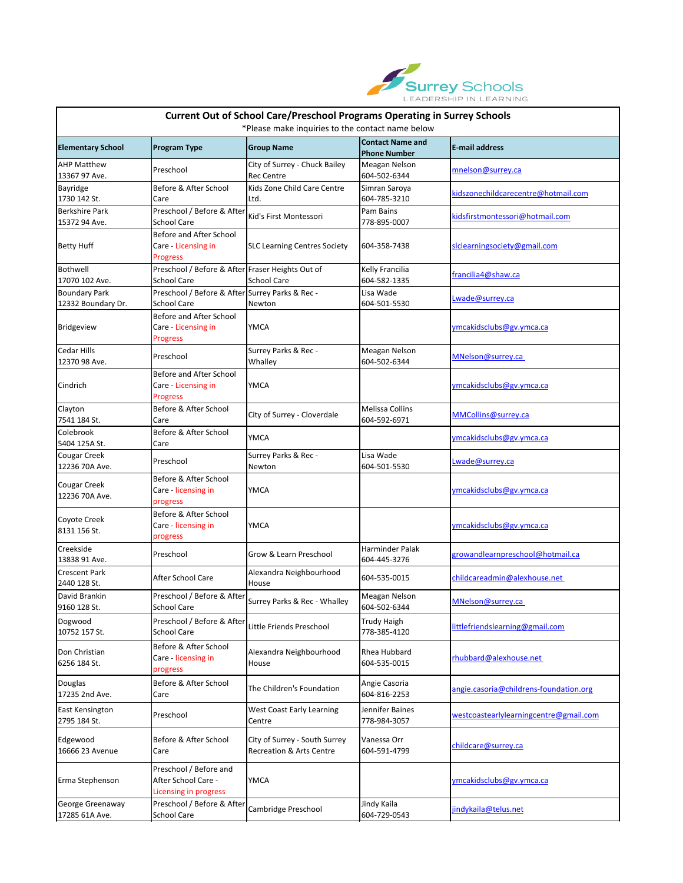

| <b>Current Out of School Care/Preschool Programs Operating in Surrey Schools</b><br>*Please make inquiries to the contact name below |                                                                               |                                                                      |                                                |                                        |  |  |  |  |
|--------------------------------------------------------------------------------------------------------------------------------------|-------------------------------------------------------------------------------|----------------------------------------------------------------------|------------------------------------------------|----------------------------------------|--|--|--|--|
| <b>Elementary School</b>                                                                                                             | <b>Program Type</b>                                                           | <b>Group Name</b>                                                    | <b>Contact Name and</b><br><b>Phone Number</b> | <b>E-mail address</b>                  |  |  |  |  |
| <b>AHP Matthew</b><br>13367 97 Ave.                                                                                                  | Preschool                                                                     | City of Surrey - Chuck Bailey<br><b>Rec Centre</b>                   | Meagan Nelson<br>604-502-6344                  | mnelson@surrey.ca                      |  |  |  |  |
| Bayridge<br>1730 142 St.                                                                                                             | Before & After School<br>Care                                                 | Kids Zone Child Care Centre<br>Ltd.                                  | Simran Saroya<br>604-785-3210                  | kidszonechildcarecentre@hotmail.com    |  |  |  |  |
| <b>Berkshire Park</b><br>15372 94 Ave.                                                                                               | Preschool / Before & After<br><b>School Care</b>                              | Kid's First Montessori                                               | Pam Bains<br>778-895-0007                      | kidsfirstmontessori@hotmail.com        |  |  |  |  |
| <b>Betty Huff</b>                                                                                                                    | <b>Before and After School</b><br>Care - Licensing in<br><b>Progress</b>      | <b>SLC Learning Centres Society</b>                                  | 604-358-7438                                   | slclearningsociety@gmail.com           |  |  |  |  |
| Bothwell<br>17070 102 Ave.                                                                                                           | Preschool / Before & After Fraser Heights Out of<br><b>School Care</b>        | <b>School Care</b>                                                   | Kelly Francilia<br>604-582-1335                | francilia4@shaw.ca                     |  |  |  |  |
| <b>Boundary Park</b><br>12332 Boundary Dr.                                                                                           | Preschool / Before & After Surrey Parks & Rec -<br><b>School Care</b>         | Newton                                                               | Lisa Wade<br>604-501-5530                      | Lwade@surrey.ca                        |  |  |  |  |
| Bridgeview                                                                                                                           | <b>Before and After School</b><br>Care - Licensing in<br><b>Progress</b>      | <b>YMCA</b>                                                          |                                                | ymcakidsclubs@gv.ymca.ca               |  |  |  |  |
| <b>Cedar Hills</b><br>12370 98 Ave.                                                                                                  | Preschool                                                                     | Surrey Parks & Rec -<br>Whalley                                      | Meagan Nelson<br>604-502-6344                  | MNelson@surrey.ca                      |  |  |  |  |
| Cindrich                                                                                                                             | Before and After School<br>Care - Licensing in<br>Progress                    | <b>YMCA</b>                                                          |                                                | ymcakidsclubs@gv.ymca.ca               |  |  |  |  |
| Clayton<br>7541 184 St.                                                                                                              | Before & After School<br>Care                                                 | City of Surrey - Cloverdale                                          | <b>Melissa Collins</b><br>604-592-6971         | MMCollins@surrey.ca                    |  |  |  |  |
| Colebrook<br>5404 125A St.                                                                                                           | Before & After School<br>Care                                                 | <b>YMCA</b>                                                          |                                                | ymcakidsclubs@gv.ymca.ca               |  |  |  |  |
| Cougar Creek<br>12236 70A Ave.                                                                                                       | Preschool                                                                     | Surrey Parks & Rec -<br>Newton                                       | Lisa Wade<br>604-501-5530                      | Lwade@surrey.ca                        |  |  |  |  |
| Cougar Creek<br>12236 70A Ave.                                                                                                       | Before & After School<br>Care - licensing in<br>progress                      | <b>YMCA</b>                                                          |                                                | ymcakidsclubs@gv.ymca.ca               |  |  |  |  |
| Coyote Creek<br>8131 156 St.                                                                                                         | Before & After School<br>Care - licensing in<br>progress                      | <b>YMCA</b>                                                          |                                                | ymcakidsclubs@gv.ymca.ca               |  |  |  |  |
| Creekside<br>13838 91 Ave.                                                                                                           | Preschool                                                                     | Grow & Learn Preschool                                               | Harminder Palak<br>604-445-3276                | growandlearnpreschool@hotmail.ca       |  |  |  |  |
| <b>Crescent Park</b><br>2440 128 St.                                                                                                 | After School Care                                                             | Alexandra Neighbourhood<br>House                                     | 604-535-0015                                   | childcareadmin@alexhouse.net           |  |  |  |  |
| David Brankin<br>9160 128 St.                                                                                                        | Preschool / Before & After<br><b>School Care</b>                              | Surrey Parks & Rec - Whalley                                         | Meagan Nelson<br>604-502-6344                  | MNelson@surrey.ca                      |  |  |  |  |
| Dogwood<br>10752 157 St.                                                                                                             | Preschool / Before & After<br><b>School Care</b>                              | Little Friends Preschool                                             | <b>Trudy Haigh</b><br>778-385-4120             | littlefriendslearning@gmail.com        |  |  |  |  |
| Don Christian<br>6256 184 St.                                                                                                        | Before & After School<br>Care - licensing in<br>progress                      | Alexandra Neighbourhood<br>House                                     | Rhea Hubbard<br>604-535-0015                   | rhubbard@alexhouse.net                 |  |  |  |  |
| Douglas<br>17235 2nd Ave.                                                                                                            | Before & After School<br>Care                                                 | The Children's Foundation                                            | Angie Casoria<br>604-816-2253                  | angie.casoria@childrens-foundation.org |  |  |  |  |
| <b>East Kensington</b><br>2795 184 St.                                                                                               | Preschool                                                                     | <b>West Coast Early Learning</b><br>Centre                           | Jennifer Baines<br>778-984-3057                | westcoastearlylearningcentre@gmail.com |  |  |  |  |
| Edgewood<br>16666 23 Avenue                                                                                                          | Before & After School<br>Care                                                 | City of Surrey - South Surrey<br><b>Recreation &amp; Arts Centre</b> | Vanessa Orr<br>604-591-4799                    | childcare@surrey.ca                    |  |  |  |  |
| Erma Stephenson                                                                                                                      | Preschool / Before and<br>After School Care -<br><b>Licensing in progress</b> | <b>YMCA</b>                                                          |                                                | ymcakidsclubs@gv.ymca.ca               |  |  |  |  |
| George Greenaway<br>17285 61A Ave.                                                                                                   | Preschool / Before & After Cambridge Preschool<br><b>School Care</b>          |                                                                      | Jindy Kaila<br>604-729-0543                    | jindykaila@telus.net                   |  |  |  |  |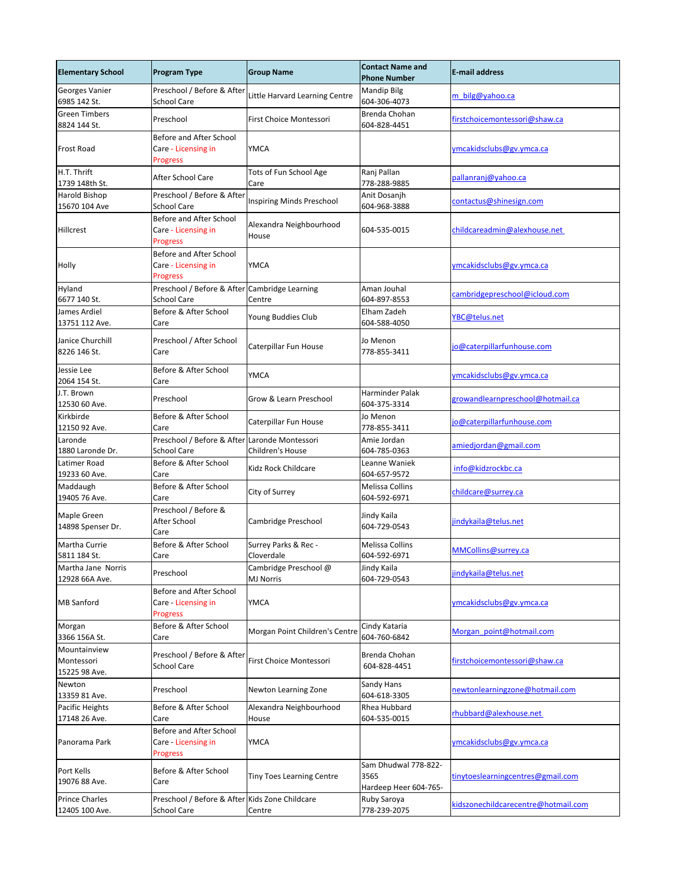| <b>Elementary School</b>                    | <b>Program Type</b>                                                  | <b>Group Name</b>                         | <b>Contact Name and</b><br><b>Phone Number</b>        | <b>E-mail address</b>               |
|---------------------------------------------|----------------------------------------------------------------------|-------------------------------------------|-------------------------------------------------------|-------------------------------------|
| Georges Vanier<br>6985 142 St.              | Preschool / Before & After<br><b>School Care</b>                     | Little Harvard Learning Centre            | <b>Mandip Bilg</b><br>604-306-4073                    | m_bilg@yahoo.ca                     |
| <b>Green Timbers</b><br>8824 144 St.        | Preschool                                                            | First Choice Montessori                   | Brenda Chohan<br>604-828-4451                         | firstchoicemontessori@shaw.ca       |
| <b>Frost Road</b>                           | Before and After School<br>Care - Licensing in<br><b>Progress</b>    | <b>YMCA</b>                               |                                                       | ymcakidsclubs@gv.ymca.ca            |
| H.T. Thrift<br>1739 148th St.               | After School Care                                                    | Tots of Fun School Age<br>Care            | Ranj Pallan<br>778-288-9885                           | pallanranj@yahoo.ca                 |
| <b>Harold Bishop</b><br>15670 104 Ave       | Preschool / Before & After<br><b>School Care</b>                     | Inspiring Minds Preschool                 | Anit Dosanjh<br>604-968-3888                          | contactus@shinesign.com             |
| Hillcrest                                   | Before and After School<br>Care - Licensing in<br><b>Progress</b>    | Alexandra Neighbourhood<br>House          | 604-535-0015                                          | childcareadmin@alexhouse.net        |
| Holly                                       | Before and After School<br>Care - Licensing in<br><b>Progress</b>    | <b>YMCA</b>                               |                                                       | ymcakidsclubs@gv.ymca.ca            |
| Hyland<br>6677 140 St.                      | Preschool / Before & After Cambridge Learning<br><b>School Care</b>  | Centre                                    | Aman Jouhal<br>604-897-8553                           | cambridgepreschool@icloud.com       |
| James Ardiel<br>13751 112 Ave.              | Before & After School<br>Care                                        | Young Buddies Club                        | Elham Zadeh<br>604-588-4050                           | YBC@telus.net                       |
| Janice Churchill<br>8226 146 St.            | Preschool / After School<br>Care                                     | Caterpillar Fun House                     | Jo Menon<br>778-855-3411                              | jo@caterpillarfunhouse.com          |
| Jessie Lee<br>2064 154 St.                  | Before & After School<br>Care                                        | <b>YMCA</b>                               |                                                       | ymcakidsclubs@gv.ymca.ca            |
| J.T. Brown<br>12530 60 Ave.                 | Preschool                                                            | <b>Grow &amp; Learn Preschool</b>         | Harminder Palak<br>604-375-3314                       | growandlearnpreschool@hotmail.ca    |
| Kirkbirde<br>12150 92 Ave.                  | Before & After School<br>Care                                        | Caterpillar Fun House                     | Jo Menon<br>778-855-3411                              | jo@caterpillarfunhouse.com          |
| Laronde<br>1880 Laronde Dr.                 | Preschool / Before & After Laronde Montessori<br><b>School Care</b>  | Children's House                          | Amie Jordan<br>604-785-0363                           | amiedjordan@gmail.com               |
| Latimer Road<br>19233 60 Ave.               | Before & After School<br>Care                                        | Kidz Rock Childcare                       | Leanne Waniek<br>604-657-9572                         | info@kidzrockbc.ca                  |
| Maddaugh<br>19405 76 Ave.                   | Before & After School<br>Care                                        | City of Surrey                            | <b>Melissa Collins</b><br>604-592-6971                | childcare@surrey.ca                 |
| Maple Green<br>14898 Spenser Dr.            | Preschool / Before &<br>After School<br>Care                         | Cambridge Preschool                       | Jindy Kaila<br>604-729-0543                           | jindykaila@telus.net                |
| Martha Currie<br>5811 184 St.               | Before & After School<br>Care                                        | Surrey Parks & Rec -<br>Cloverdale        | <b>Melissa Collins</b><br>604-592-6971                | MMCollins@surrey.ca                 |
| Martha Jane Norris<br>12928 66A Ave.        | Preschool                                                            | Cambridge Preschool @<br><b>MJ Norris</b> | Jindy Kaila<br>604-729-0543                           | jindykaila@telus.net                |
| <b>MB</b> Sanford                           | Before and After School<br>Care - Licensing in<br><b>Progress</b>    | <b>YMCA</b>                               |                                                       | ymcakidsclubs@gv.ymca.ca            |
| Morgan<br>3366 156A St.                     | Before & After School<br>Care                                        | Morgan Point Children's Centre            | Cindy Kataria<br>604-760-6842                         | Morgan_point@hotmail.com            |
| Mountainview<br>Montessori<br>15225 98 Ave. | Preschool / Before & After<br><b>School Care</b>                     | First Choice Montessori                   | Brenda Chohan<br>604-828-4451                         | firstchoicemontessori@shaw.ca       |
| Newton<br>13359 81 Ave.                     | Preschool                                                            | Newton Learning Zone                      | Sandy Hans<br>604-618-3305                            | newtonlearningzone@hotmail.com      |
| Pacific Heights<br>17148 26 Ave.            | Before & After School<br>Care                                        | Alexandra Neighbourhood<br><b>House</b>   | <b>Rhea Hubbard</b><br>604-535-0015                   | rhubbard@alexhouse.net              |
| Panorama Park                               | Before and After School<br>Care - Licensing in<br><b>Progress</b>    | <b>YMCA</b>                               |                                                       | ymcakidsclubs@gv.ymca.ca            |
| Port Kells<br>19076 88 Ave.                 | Before & After School<br>Care                                        | <b>Tiny Toes Learning Centre</b>          | Sam Dhudwal 778-822-<br>3565<br>Hardeep Heer 604-765- | tinytoeslearningcentres@gmail.com   |
| <b>Prince Charles</b><br>12405 100 Ave.     | Preschool / Before & After Kids Zone Childcare<br><b>School Care</b> | Centre                                    | Ruby Saroya<br>778-239-2075                           | kidszonechildcarecentre@hotmail.com |